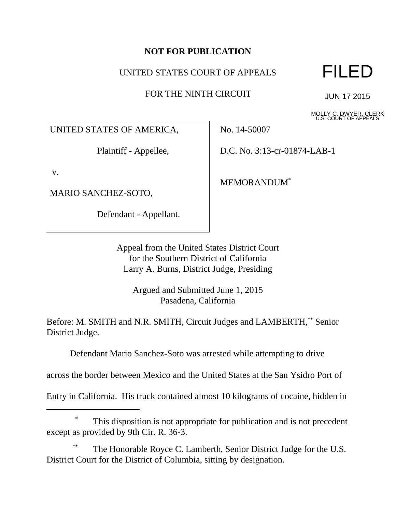## **NOT FOR PUBLICATION**

## UNITED STATES COURT OF APPEALS

FOR THE NINTH CIRCUIT

FILED

JUN 17 2015

MOLLY C. DWYER, CLERK U.S. COURT OF APPEALS

UNITED STATES OF AMERICA,

Plaintiff - Appellee,

v.

MARIO SANCHEZ-SOTO,

Defendant - Appellant.

No. 14-50007

D.C. No. 3:13-cr-01874-LAB-1

MEMORANDUM\*

Appeal from the United States District Court for the Southern District of California Larry A. Burns, District Judge, Presiding

Argued and Submitted June 1, 2015 Pasadena, California

Before: M. SMITH and N.R. SMITH, Circuit Judges and LAMBERTH,\*\* Senior District Judge.

Defendant Mario Sanchez-Soto was arrested while attempting to drive

across the border between Mexico and the United States at the San Ysidro Port of

Entry in California. His truck contained almost 10 kilograms of cocaine, hidden in

# This disposition is not appropriate for publication and is not precedent except as provided by 9th Cir. R. 36-3.

The Honorable Royce C. Lamberth, Senior District Judge for the U.S. District Court for the District of Columbia, sitting by designation.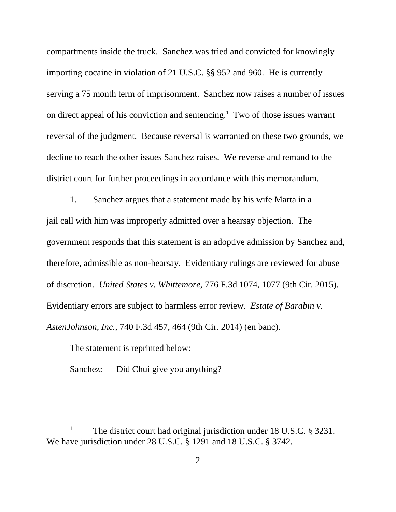compartments inside the truck. Sanchez was tried and convicted for knowingly importing cocaine in violation of 21 U.S.C. §§ 952 and 960. He is currently serving a 75 month term of imprisonment. Sanchez now raises a number of issues on direct appeal of his conviction and sentencing.<sup>1</sup> Two of those issues warrant reversal of the judgment. Because reversal is warranted on these two grounds, we decline to reach the other issues Sanchez raises. We reverse and remand to the district court for further proceedings in accordance with this memorandum.

1. Sanchez argues that a statement made by his wife Marta in a jail call with him was improperly admitted over a hearsay objection. The government responds that this statement is an adoptive admission by Sanchez and, therefore, admissible as non-hearsay. Evidentiary rulings are reviewed for abuse of discretion. *United States v. Whittemore*, 776 F.3d 1074, 1077 (9th Cir. 2015). Evidentiary errors are subject to harmless error review. *Estate of Barabin v. AstenJohnson, Inc.*, 740 F.3d 457, 464 (9th Cir. 2014) (en banc).

The statement is reprinted below:

Sanchez: Did Chui give you anything?

<sup>&</sup>lt;sup>1</sup> The district court had original jurisdiction under 18 U.S.C.  $\S$  3231. We have jurisdiction under 28 U.S.C. § 1291 and 18 U.S.C. § 3742.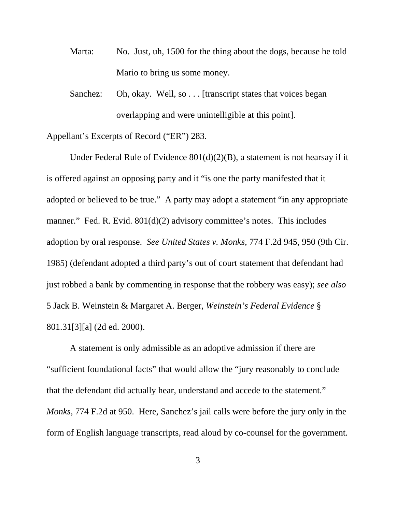- Marta: No. Just, uh, 1500 for the thing about the dogs, because he told Mario to bring us some money.
- Sanchez: Oh, okay. Well, so . . . [transcript states that voices began overlapping and were unintelligible at this point].

Appellant's Excerpts of Record ("ER") 283.

Under Federal Rule of Evidence 801(d)(2)(B), a statement is not hearsay if it is offered against an opposing party and it "is one the party manifested that it adopted or believed to be true." A party may adopt a statement "in any appropriate manner." Fed. R. Evid. 801(d)(2) advisory committee's notes. This includes adoption by oral response. *See United States v. Monks*, 774 F.2d 945, 950 (9th Cir. 1985) (defendant adopted a third party's out of court statement that defendant had just robbed a bank by commenting in response that the robbery was easy); *see also* 5 Jack B. Weinstein & Margaret A. Berger, *Weinstein's Federal Evidence* § 801.31[3][a] (2d ed. 2000).

A statement is only admissible as an adoptive admission if there are "sufficient foundational facts" that would allow the "jury reasonably to conclude that the defendant did actually hear, understand and accede to the statement." *Monks*, 774 F.2d at 950. Here, Sanchez's jail calls were before the jury only in the form of English language transcripts, read aloud by co-counsel for the government.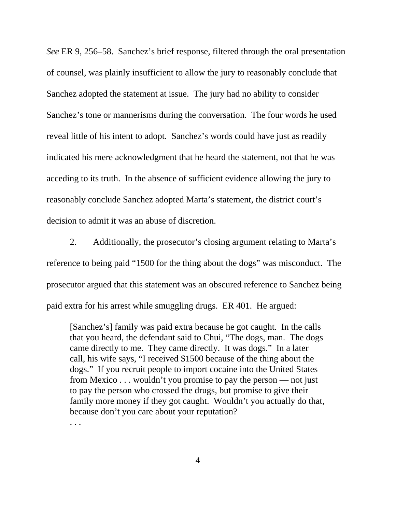*See* ER 9, 256–58. Sanchez's brief response, filtered through the oral presentation of counsel, was plainly insufficient to allow the jury to reasonably conclude that Sanchez adopted the statement at issue. The jury had no ability to consider Sanchez's tone or mannerisms during the conversation. The four words he used reveal little of his intent to adopt. Sanchez's words could have just as readily indicated his mere acknowledgment that he heard the statement, not that he was acceding to its truth. In the absence of sufficient evidence allowing the jury to reasonably conclude Sanchez adopted Marta's statement, the district court's decision to admit it was an abuse of discretion.

2. Additionally, the prosecutor's closing argument relating to Marta's reference to being paid "1500 for the thing about the dogs" was misconduct. The prosecutor argued that this statement was an obscured reference to Sanchez being paid extra for his arrest while smuggling drugs. ER 401. He argued:

[Sanchez's] family was paid extra because he got caught. In the calls that you heard, the defendant said to Chui, "The dogs, man. The dogs came directly to me. They came directly. It was dogs." In a later call, his wife says, "I received \$1500 because of the thing about the dogs." If you recruit people to import cocaine into the United States from Mexico . . . wouldn't you promise to pay the person — not just to pay the person who crossed the drugs, but promise to give their family more money if they got caught. Wouldn't you actually do that, because don't you care about your reputation?

. . .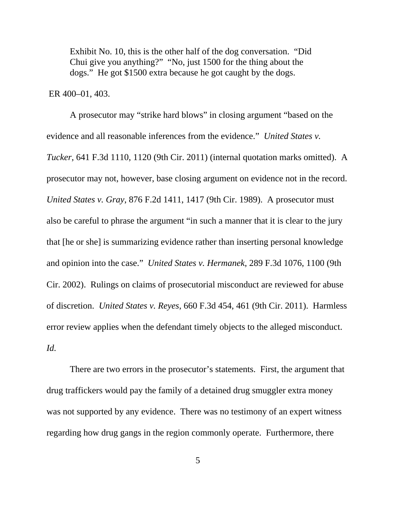Exhibit No. 10, this is the other half of the dog conversation. "Did Chui give you anything?" "No, just 1500 for the thing about the dogs." He got \$1500 extra because he got caught by the dogs.

#### ER 400–01, 403.

A prosecutor may "strike hard blows" in closing argument "based on the evidence and all reasonable inferences from the evidence." *United States v. Tucker*, 641 F.3d 1110, 1120 (9th Cir. 2011) (internal quotation marks omitted). A prosecutor may not, however, base closing argument on evidence not in the record. *United States v. Gray*, 876 F.2d 1411, 1417 (9th Cir. 1989). A prosecutor must also be careful to phrase the argument "in such a manner that it is clear to the jury that [he or she] is summarizing evidence rather than inserting personal knowledge and opinion into the case." *United States v. Hermanek*, 289 F.3d 1076, 1100 (9th Cir. 2002). Rulings on claims of prosecutorial misconduct are reviewed for abuse of discretion. *United States v. Reyes*, 660 F.3d 454, 461 (9th Cir. 2011). Harmless error review applies when the defendant timely objects to the alleged misconduct. *Id.*

There are two errors in the prosecutor's statements. First, the argument that drug traffickers would pay the family of a detained drug smuggler extra money was not supported by any evidence. There was no testimony of an expert witness regarding how drug gangs in the region commonly operate. Furthermore, there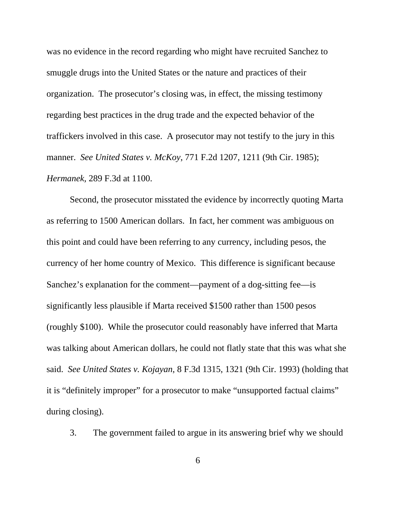was no evidence in the record regarding who might have recruited Sanchez to smuggle drugs into the United States or the nature and practices of their organization. The prosecutor's closing was, in effect, the missing testimony regarding best practices in the drug trade and the expected behavior of the traffickers involved in this case. A prosecutor may not testify to the jury in this manner. *See United States v. McKoy*, 771 F.2d 1207, 1211 (9th Cir. 1985); *Hermanek*, 289 F.3d at 1100.

Second, the prosecutor misstated the evidence by incorrectly quoting Marta as referring to 1500 American dollars. In fact, her comment was ambiguous on this point and could have been referring to any currency, including pesos, the currency of her home country of Mexico. This difference is significant because Sanchez's explanation for the comment—payment of a dog-sitting fee—is significantly less plausible if Marta received \$1500 rather than 1500 pesos (roughly \$100). While the prosecutor could reasonably have inferred that Marta was talking about American dollars, he could not flatly state that this was what she said. *See United States v. Kojayan*, 8 F.3d 1315, 1321 (9th Cir. 1993) (holding that it is "definitely improper" for a prosecutor to make "unsupported factual claims" during closing).

3. The government failed to argue in its answering brief why we should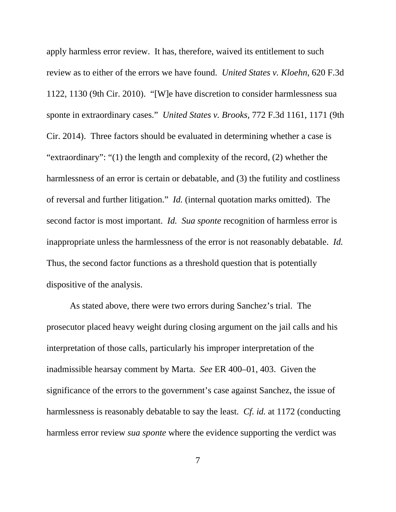apply harmless error review. It has, therefore, waived its entitlement to such review as to either of the errors we have found. *United States v. Kloehn*, 620 F.3d 1122, 1130 (9th Cir. 2010). "[W]e have discretion to consider harmlessness sua sponte in extraordinary cases." *United States v. Brooks*, 772 F.3d 1161, 1171 (9th Cir. 2014). Three factors should be evaluated in determining whether a case is "extraordinary": "(1) the length and complexity of the record, (2) whether the harmlessness of an error is certain or debatable, and (3) the futility and costliness of reversal and further litigation." *Id.* (internal quotation marks omitted). The second factor is most important. *Id. Sua sponte* recognition of harmless error is inappropriate unless the harmlessness of the error is not reasonably debatable. *Id.*  Thus, the second factor functions as a threshold question that is potentially dispositive of the analysis.

As stated above, there were two errors during Sanchez's trial. The prosecutor placed heavy weight during closing argument on the jail calls and his interpretation of those calls, particularly his improper interpretation of the inadmissible hearsay comment by Marta. *See* ER 400–01, 403. Given the significance of the errors to the government's case against Sanchez, the issue of harmlessness is reasonably debatable to say the least. *Cf. id.* at 1172 (conducting harmless error review *sua sponte* where the evidence supporting the verdict was